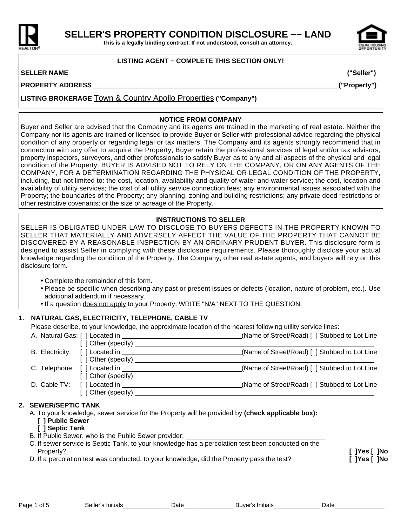

**This is a legally binding contract. If not understood, consult an attorney.**

## **LISTING AGENT − COMPLETE THIS SECTION ONLY!**

## **SELLER NAME ("Seller")**

**PROPERTY ADDRESS ("Property")**

**LISTING BROKERAGE** Town & Country Apollo Properties **("Company")**

## **NOTICE FROM COMPANY**

Buyer and Seller are advised that the Company and its agents are trained in the marketing of real estate. Neither the Company nor its agents are trained or licensed to provide Buyer or Seller with professional advice regarding the physical condition of any property or regarding legal or tax matters. The Company and its agents strongly recommend that in connection with any offer to acquire the Property, Buyer retain the professional services of legal and/or tax advisors, property inspectors, surveyors, and other professionals to satisfy Buyer as to any and all aspects of the physical and legal condition of the Property. BUYER IS ADVISED NOT TO RELY ON THE COMPANY, OR ON ANY AGENTS OF THE COMPANY, FOR A DETERMINATION REGARDING THE PHYSICAL OR LEGAL CONDITION OF THE PROPERTY, including, but not limited to: the cost, location, availability and quality of water and water service; the cost, location and availability of utility services; the cost of all utility service connection fees; any environmental issues associated with the Property; the boundaries of the Property; any planning, zoning and building restrictions; any private deed restrictions or other restrictive covenants; or the size or acreage of the Property.

## **INSTRUCTIONS TO SELLER**

SELLER IS OBLIGATED UNDER LAW TO DISCLOSE TO BUYERS DEFECTS IN THE PROPERTY KNOWN TO SELLER THAT MATERIALLY AND ADVERSELY AFFECT THE VALUE OF THE PROPERTY THAT CANNOT BE DISCOVERED BY A REASONABLE INSPECTION BY AN ORDINARY PRUDENT BUYER. This disclosure form is designed to assist Seller in complying with these disclosure requirements. Please thoroughly disclose your actual knowledge regarding the condition of the Property. The Company, other real estate agents, and buyers will rely on this disclosure form.

- Complete the remainder of this form.
- Please be specific when describing any past or present issues or defects (location, nature of problem, etc.). Use additional addendum if necessary.
- If a question does not apply to your Property, WRITE "N/A" NEXT TO THE QUESTION.

## **1. NATURAL GAS, ELECTRICITY, TELEPHONE, CABLE TV**

Please describe, to your knowledge, the approximate location of the nearest following utility service lines:

|                                                                        | (Name of Street/Road) [ ] Stubbed to Lot Line |
|------------------------------------------------------------------------|-----------------------------------------------|
| $\lceil$   Other (specify) $\_\_$                                      |                                               |
|                                                                        | (Name of Street/Road) [ ] Stubbed to Lot Line |
| $\lceil$ $\rceil$ Other (specify) $\sqrt{\qquad \qquad }$              |                                               |
|                                                                        | (Name of Street/Road) [ ] Stubbed to Lot Line |
| $\lceil$ $\rceil$ Other (specify) $\sqrt{\frac{1}{2} \rceil}$          |                                               |
|                                                                        | (Name of Street/Road) [ ] Stubbed to Lot Line |
| $\left[\begin{array}{c}\end{array}\right]$ Other (specify) ___________ |                                               |

## **2. SEWER/SEPTIC TANK**

A. To your knowledge, sewer service for the Property will be provided by **(check applicable box):**

- **[ ] Public Sewer**
- **[ ] Septic Tank**
- B. If Public Sewer, who is the Public Sewer provider:
- C. If sewer service is Septic Tank, to your knowledge has a percolation test been conducted on the Property? **[ ]Yes [ ]No**
- D. If a percolation test was conducted, to your knowledge, did the Property pass the test? **[ ]Yes [ ]No**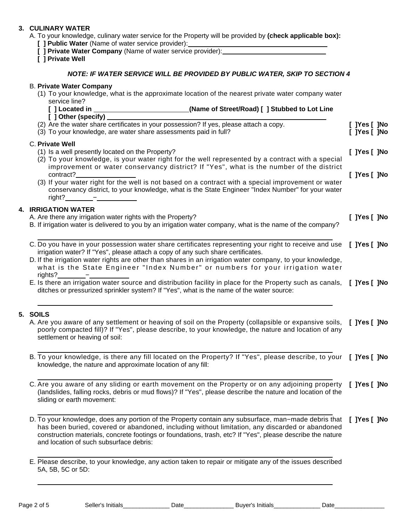## **3. CULINARY WATER**

- A. To your knowledge, culinary water service for the Property will be provided by **(check applicable box): [ ] Public Water** (Name of water service provider):
	- **[ ] Private Water Company** (Name of water service provider):

**[ ] Private Well**

## **NOTE: IF WATER SERVICE WILL BE PROVIDED BY PUBLIC WATER, SKIP TO SECTION 4**

# B. **Private Water Company** (1) To your knowledge, what is the approximate location of the nearest private water company water service line? **[ ] Located in (Name of Street/Road) [ ] Stubbed to Lot Line [ ] Other (specify)**  (2) Are the water share certificates in your possession? If yes, please attach a copy. **[ ]Yes [ ]No** (3) To your knowledge, are water share assessments paid in full? **[ ]Yes [ ]No** C. **Private Well** (1) Is a well presently located on the Property? **[ ]Yes [ ]No** (2) To your knowledge, is your water right for the well represented by a contract with a special improvement or water conservancy district? If "Yes", what is the number of the district contract? **[ ]Yes [ ]No** (3) If your water right for the well is not based on a contract with a special improvement or water conservancy district, to your knowledge, what is the State Engineer "Index Number" for your water  $right?$   $-$ **4. IRRIGATION WATER** A. Are there any irrigation water rights with the Property? **[ ]Yes [ ]No** B. If irrigation water is delivered to you by an irrigation water company, what is the name of the company? C. Do you have in your possession water share certificates representing your right to receive and use **[ ]Yes [ ]No** irrigation water? If "Yes", please attach a copy of any such share certificates. D. If the irrigation water rights are other than shares in an irrigation water company, to your knowledge, what is the State Engineer "Index Number" or numbers for your irrigation water rights? − E. Is there an irrigation water source and distribution facility in place for the Property such as canals, **[ ]Yes [ ]No** ditches or pressurized sprinkler system? If "Yes", what is the name of the water source: **5. SOILS** A. Are you aware of any settlement or heaving of soil on the Property (collapsible or expansive soils, **[ ]Yes [ ]No** poorly compacted fill)? If "Yes", please describe, to your knowledge, the nature and location of any settlement or heaving of soil: B. To your knowledge, is there any fill located on the Property? If "Yes", please describe, to your **[ ]Yes [ ]No** knowledge, the nature and approximate location of any fill: C. Are you aware of any sliding or earth movement on the Property or on any adjoining property **[ ]Yes [ ]No** (landslides, falling rocks, debris or mud flows)? If "Yes", please describe the nature and location of the sliding or earth movement: D. To your knowledge, does any portion of the Property contain any subsurface, man−made debris that **[ ]Yes [ ]No** has been buried, covered or abandoned, including without limitation, any discarded or abandoned construction materials, concrete footings or foundations, trash, etc? If "Yes", please describe the nature and location of such subsurface debris: E. Please describe, to your knowledge, any action taken to repair or mitigate any of the issues described 5A, 5B, 5C or 5D:

Page 2 of 5 Seller's Initials\_\_\_\_\_\_\_\_\_\_\_\_\_\_\_\_ Date\_\_\_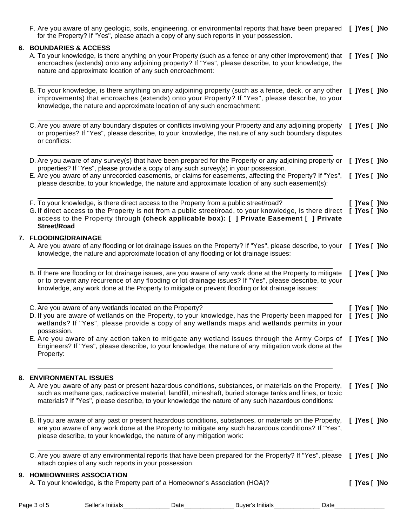| F. Are you aware of any geologic, soils, engineering, or environmental reports that have been prepared [ ]Yes [ ]No<br>for the Property? If "Yes", please attach a copy of any such reports in your possession.                                                                                                             |                              |
|-----------------------------------------------------------------------------------------------------------------------------------------------------------------------------------------------------------------------------------------------------------------------------------------------------------------------------|------------------------------|
| 6. BOUNDARIES & ACCESS<br>A. To your knowledge, is there anything on your Property (such as a fence or any other improvement) that<br>encroaches (extends) onto any adjoining property? If "Yes", please describe, to your knowledge, the<br>nature and approximate location of any such encroachment:                      | [ ]Yes [ ]No                 |
| B. To your knowledge, is there anything on any adjoining property (such as a fence, deck, or any other<br>improvements) that encroaches (extends) onto your Property? If "Yes", please describe, to your<br>knowledge, the nature and approximate location of any such encroachment:                                        | [ ]Yes [ ]No                 |
| C. Are you aware of any boundary disputes or conflicts involving your Property and any adjoining property<br>or properties? If "Yes", please describe, to your knowledge, the nature of any such boundary disputes<br>or conflicts:                                                                                         | [ ]Yes [ ]No                 |
| D. Are you aware of any survey(s) that have been prepared for the Property or any adjoining property or<br>properties? If "Yes", please provide a copy of any such survey(s) in your possession.                                                                                                                            | [ ]Yes [ ]No                 |
| E. Are you aware of any unrecorded easements, or claims for easements, affecting the Property? If "Yes",<br>please describe, to your knowledge, the nature and approximate location of any such easement(s):                                                                                                                | [ ]Yes [ ]No                 |
| F. To your knowledge, is there direct access to the Property from a public street/road?<br>G. If direct access to the Property is not from a public street/road, to your knowledge, is there direct<br>access to the Property through (check applicable box): [ ] Private Easement [ ] Private<br><b>Street/Road</b>        | [ ]Yes [ ]No<br>[ ]Yes [ ]No |
| 7. FLOODING/DRAINAGE<br>A. Are you aware of any flooding or lot drainage issues on the Property? If "Yes", please describe, to your [ ]Yes [ ]No<br>knowledge, the nature and approximate location of any flooding or lot drainage issues:                                                                                  |                              |
| B. If there are flooding or lot drainage issues, are you aware of any work done at the Property to mitigate<br>or to prevent any recurrence of any flooding or lot drainage issues? If "Yes", please describe, to your<br>knowledge, any work done at the Property to mitigate or prevent flooding or lot drainage issues:  | [ ]Yes [ ]No                 |
| C. Are you aware of any wetlands located on the Property?                                                                                                                                                                                                                                                                   | [ ]Yes [ ]No                 |
| D. If you are aware of wetlands on the Property, to your knowledge, has the Property been mapped for<br>wetlands? If "Yes", please provide a copy of any wetlands maps and wetlands permits in your<br>possession.                                                                                                          | [ ]Yes [ ]No                 |
| E. Are you aware of any action taken to mitigate any wetland issues through the Army Corps of<br>Engineers? If "Yes", please describe, to your knowledge, the nature of any mitigation work done at the<br>Property:                                                                                                        | [ ]Yes [ ]No                 |
| 8. ENVIRONMENTAL ISSUES                                                                                                                                                                                                                                                                                                     |                              |
| A. Are you aware of any past or present hazardous conditions, substances, or materials on the Property,<br>such as methane gas, radioactive material, landfill, mineshaft, buried storage tanks and lines, or toxic<br>materials? If "Yes", please describe, to your knowledge the nature of any such hazardous conditions: | [ ]Yes [ ]No                 |
| B. If you are aware of any past or present hazardous conditions, substances, or materials on the Property,<br>are you aware of any work done at the Property to mitigate any such hazardous conditions? If "Yes",<br>please describe, to your knowledge, the nature of any mitigation work:                                 | $[$ ]Yes $[$ ]No             |
| C. Are you aware of any environmental reports that have been prepared for the Property? If "Yes", please<br>attach copies of any such reports in your possession.                                                                                                                                                           | [ ]Yes [ ]No                 |
| 9. HOMEOWNERS ASSOCIATION<br>A. To your knowledge, is the Property part of a Homeowner's Association (HOA)?                                                                                                                                                                                                                 | [ ]Yes [ ]No                 |
|                                                                                                                                                                                                                                                                                                                             |                              |

| Page<br>nt : | eller'<br>Initials | ⊃at∈ | Initials<br>Buver's | Jate |
|--------------|--------------------|------|---------------------|------|
|              |                    |      |                     |      |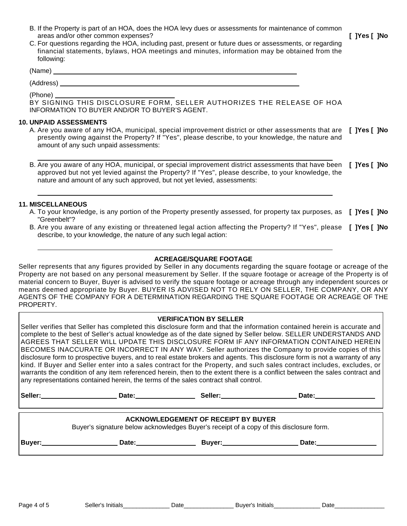- B. If the Property is part of an HOA, does the HOA levy dues or assessments for maintenance of common areas and/or other common expenses? **[ ]Yes [ ]No**
- C. For questions regarding the HOA, including past, present or future dues or assessments, or regarding financial statements, bylaws, HOA meetings and minutes, information may be obtained from the following:

(Name)

(Address)

(Phone)

BY SIGNING THIS DISCLOSURE FORM, SELLER AUTHORIZES THE RELEASE OF HOA INFORMATION TO BUYER AND/OR TO BUYER'S AGENT.

## **10. UNPAID ASSESSMENTS**

- A. Are you aware of any HOA, municipal, special improvement district or other assessments that are **[ ]Yes [ ]No** presently owing against the Property? If "Yes", please describe, to your knowledge, the nature and amount of any such unpaid assessments:
- B. Are you aware of any HOA, municipal, or special improvement district assessments that have been **[ ]Yes [ ]No** approved but not yet levied against the Property? If "Yes", please describe, to your knowledge, the nature and amount of any such approved, but not yet levied, assessments:

## **11. MISCELLANEOUS**

- A. To your knowledge, is any portion of the Property presently assessed, for property tax purposes, as **[ ]Yes [ ]No** "Greenbelt"?
- B. Are you aware of any existing or threatened legal action affecting the Property? If "Yes", please [ **]Yes** [ **]No** describe, to your knowledge, the nature of any such legal action:

## **ACREAGE/SQUARE FOOTAGE**

Seller represents that any figures provided by Seller in any documents regarding the square footage or acreage of the Property are not based on any personal measurement by Seller. If the square footage or acreage of the Property is of material concern to Buyer, Buyer is advised to verify the square footage or acreage through any independent sources or means deemed appropriate by Buyer. BUYER IS ADVISED NOT TO RELY ON SELLER, THE COMPANY, OR ANY AGENTS OF THE COMPANY FOR A DETERMINATION REGARDING THE SQUARE FOOTAGE OR ACREAGE OF THE PROPERTY.

## **VERIFICATION BY SELLER**

Seller verifies that Seller has completed this disclosure form and that the information contained herein is accurate and complete to the best of Seller's actual knowledge as of the date signed by Seller below. SELLER UNDERSTANDS AND AGREES THAT SELLER WILL UPDATE THIS DISCLOSURE FORM IF ANY INFORMATION CONTAINED HEREIN BECOMES INACCURATE OR INCORRECT IN ANY WAY. Seller authorizes the Company to provide copies of this disclosure form to prospective buyers, and to real estate brokers and agents. This disclosure form is not a warranty of any kind. If Buyer and Seller enter into a sales contract for the Property, and such sales contract includes, excludes, or warrants the condition of any item referenced herein, then to the extent there is a conflict between the sales contract and any representations contained herein, the terms of the sales contract shall control.

Seller: **No. 2018** Contract 2018 Contract 2018 Contract 2018 Contract 2018 Contract 2018 Contract 2018 Contract 2018

## **ACKNOWLEDGEMENT OF RECEIPT BY BUYER**

Buyer's signature below acknowledges Buyer's receipt of a copy of this disclosure form.

**Buyer: Date: Buyer: Date:**